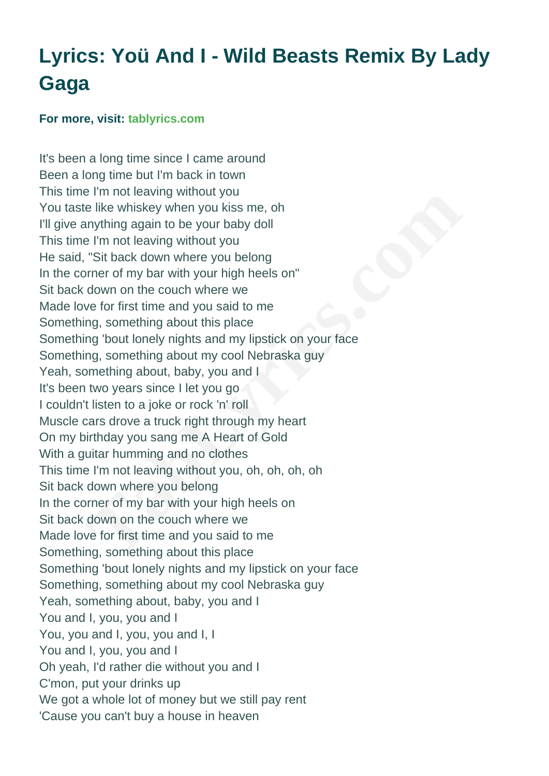## **Lyrics: Yoü And I - Wild Beasts Remix By Lady Gaga**

## **For more, visit: [tablyrics.com](https://www.tablyrics.com/yo%C3%BC-and-i-%28-%29-wild-beasts-remix-chords-lyrics-lady-gaga)**

It's been a long time since I came around Been a long time but I'm back in town This time I'm not leaving without you You taste like whiskey when you kiss me, oh I'll give anything again to be your baby doll This time I'm not leaving without you He said, "Sit back down where you belong In the corner of my bar with your high heels on" Sit back down on the couch where we Made love for first time and you said to me Something, something about this place Something 'bout lonely nights and my lipstick on your face Something, something about my cool Nebraska guy Yeah, something about, baby, you and I It's been two years since I let you go I couldn't listen to a joke or rock 'n' roll Muscle cars drove a truck right through my heart On my birthday you sang me A Heart of Gold With a guitar humming and no clothes This time I'm not leaving without you, oh, oh, oh, oh Sit back down where you belong In the corner of my bar with your high heels on Sit back down on the couch where we Made love for first time and you said to me Something, something about this place Something 'bout lonely nights and my lipstick on your face Something, something about my cool Nebraska guy Yeah, something about, baby, you and I You and I, you, you and I You, you and I, you, you and I, I You and I, you, you and I Oh yeah, I'd rather die without you and I C'mon, put your drinks up We got a whole lot of money but we still pay rent 'Cause you can't buy a house in heaven **Find the start of the start of the start of the like whiskey when you kiss me, oh**<br> **E** like whiskey when you kiss me, oh<br>
"Sit back down where you belong<br>
"Sit back down where you belong<br>
down on the couch where we<br>
we f